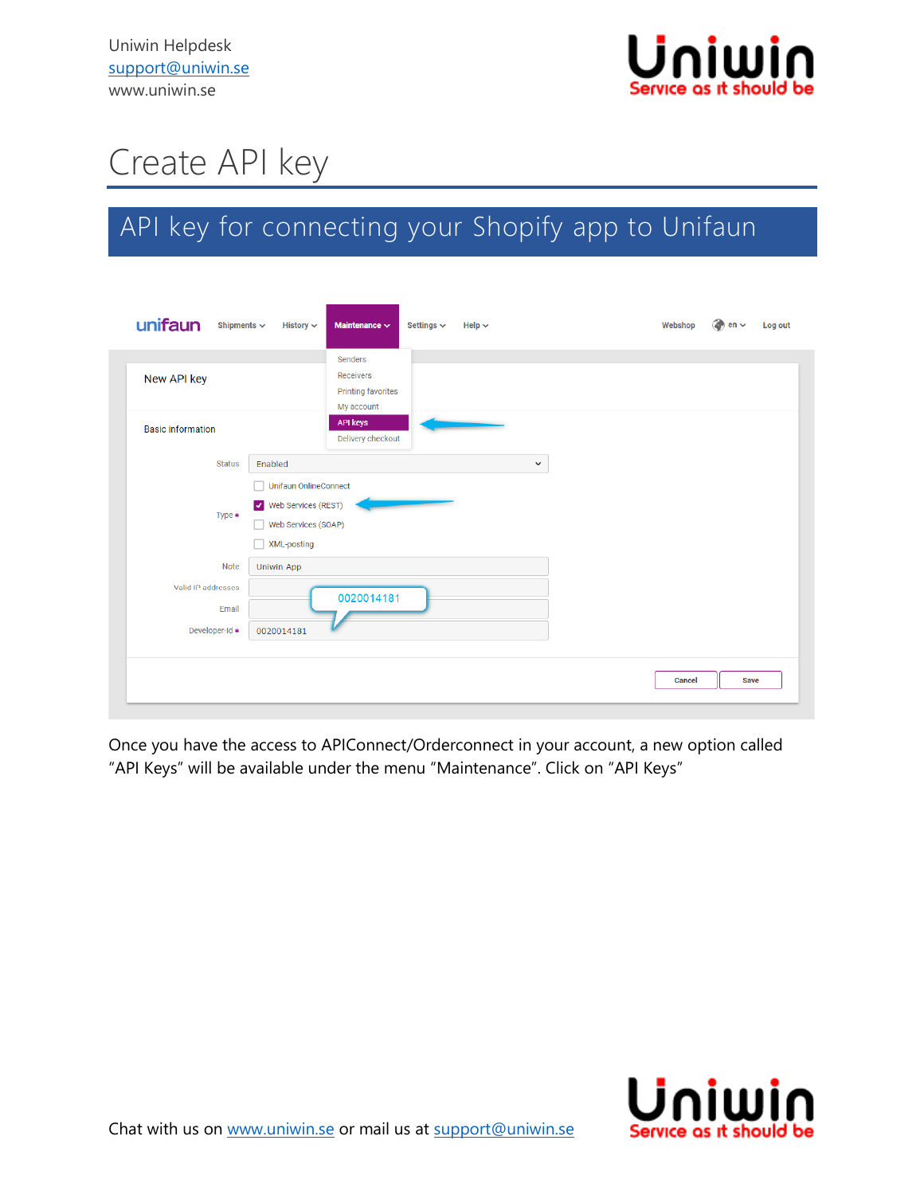

## Create API key

## API key for connecting your Shopify app to Unifaun

| unifaun<br>Shipments $\sim$                   | History $\vee$                                              | Maintenance $\sim$                                              | Settings $\backsim$ | Help $\sim$  | Webshop       | $\approx$ en $\sim$ | Log out |
|-----------------------------------------------|-------------------------------------------------------------|-----------------------------------------------------------------|---------------------|--------------|---------------|---------------------|---------|
| New API key                                   |                                                             | Senders<br>Receivers<br><b>Printing favorites</b><br>My account |                     |              |               |                     |         |
| <b>Basic information</b>                      |                                                             | <b>API keys</b><br>Delivery checkout                            |                     |              |               |                     |         |
| <b>Status</b>                                 | Enabled<br><b>Unifaun OnlineConnect</b>                     |                                                                 |                     | $\checkmark$ |               |                     |         |
| Type *                                        | V Web Services (REST)<br>Web Services (SOAP)<br>XML-posting |                                                                 |                     |              |               |                     |         |
| <b>Note</b>                                   | Uniwin App                                                  |                                                                 |                     |              |               |                     |         |
| Valid IP addresses<br>Email<br>Developer-Id * | 0020014181                                                  | 0020014181                                                      |                     |              |               |                     |         |
|                                               |                                                             |                                                                 |                     |              | <b>Cancel</b> | <b>Save</b>         |         |

Once you have the access to APIConnect/Orderconnect in your account, a new option called "API Keys" will be available under the menu "Maintenance". Click on "API Keys"

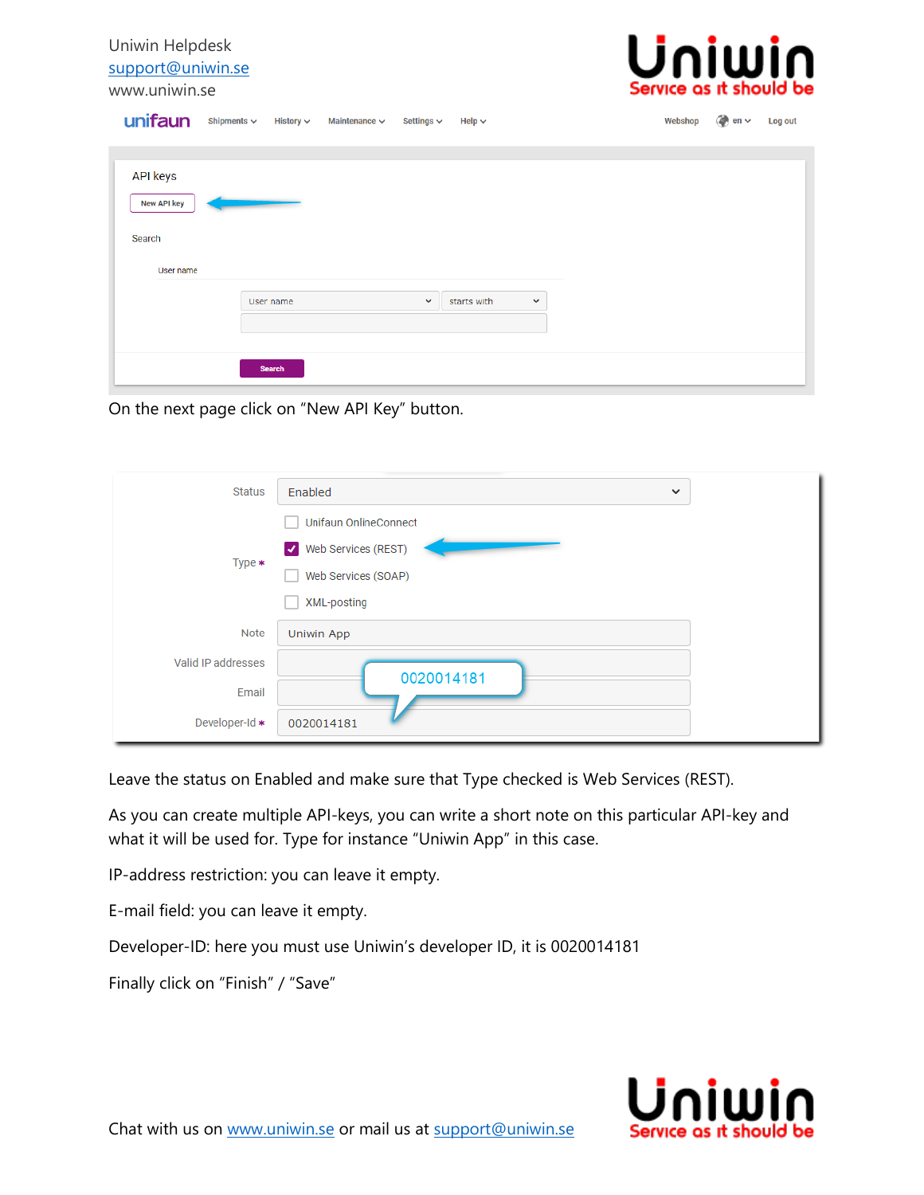Uniwin Helpdesk [support@uniwin.se](mailto:support@uniwin.se) www.uniwin.se



| unifaun                                                      |                            | Shipments ↓ History ↓ Maintenance ↓ Settings ↓ |             | Help $\sim$ |             | Webshop | $\Rightarrow$ en $\sim$ | Log out |
|--------------------------------------------------------------|----------------------------|------------------------------------------------|-------------|-------------|-------------|---------|-------------------------|---------|
| <b>API keys</b><br><b>New API key</b><br>Search<br>User name |                            |                                                |             |             |             |         |                         |         |
|                                                              | User name<br><b>Search</b> |                                                | $\check{~}$ | starts with | $\check{~}$ |         |                         |         |

On the next page click on "New API Key" button.

| <b>Status</b>      | Enabled<br>$\checkmark$                     |
|--------------------|---------------------------------------------|
|                    | <b>Unifaun OnlineConnect</b>                |
| Type $*$           | Web Services (REST)<br>$\blacktriangledown$ |
|                    | Web Services (SOAP)                         |
|                    | XML-posting                                 |
| <b>Note</b>        | Uniwin App                                  |
| Valid IP addresses |                                             |
| Email              | 0020014181                                  |
| Developer-Id *     | 0020014181                                  |

Leave the status on Enabled and make sure that Type checked is Web Services (REST).

As you can create multiple API-keys, you can write a short note on this particular API-key and what it will be used for. Type for instance "Uniwin App" in this case.

IP-address restriction: you can leave it empty.

E-mail field: you can leave it empty.

Developer-ID: here you must use Uniwin's developer ID, it is 0020014181

Finally click on "Finish" / "Save"